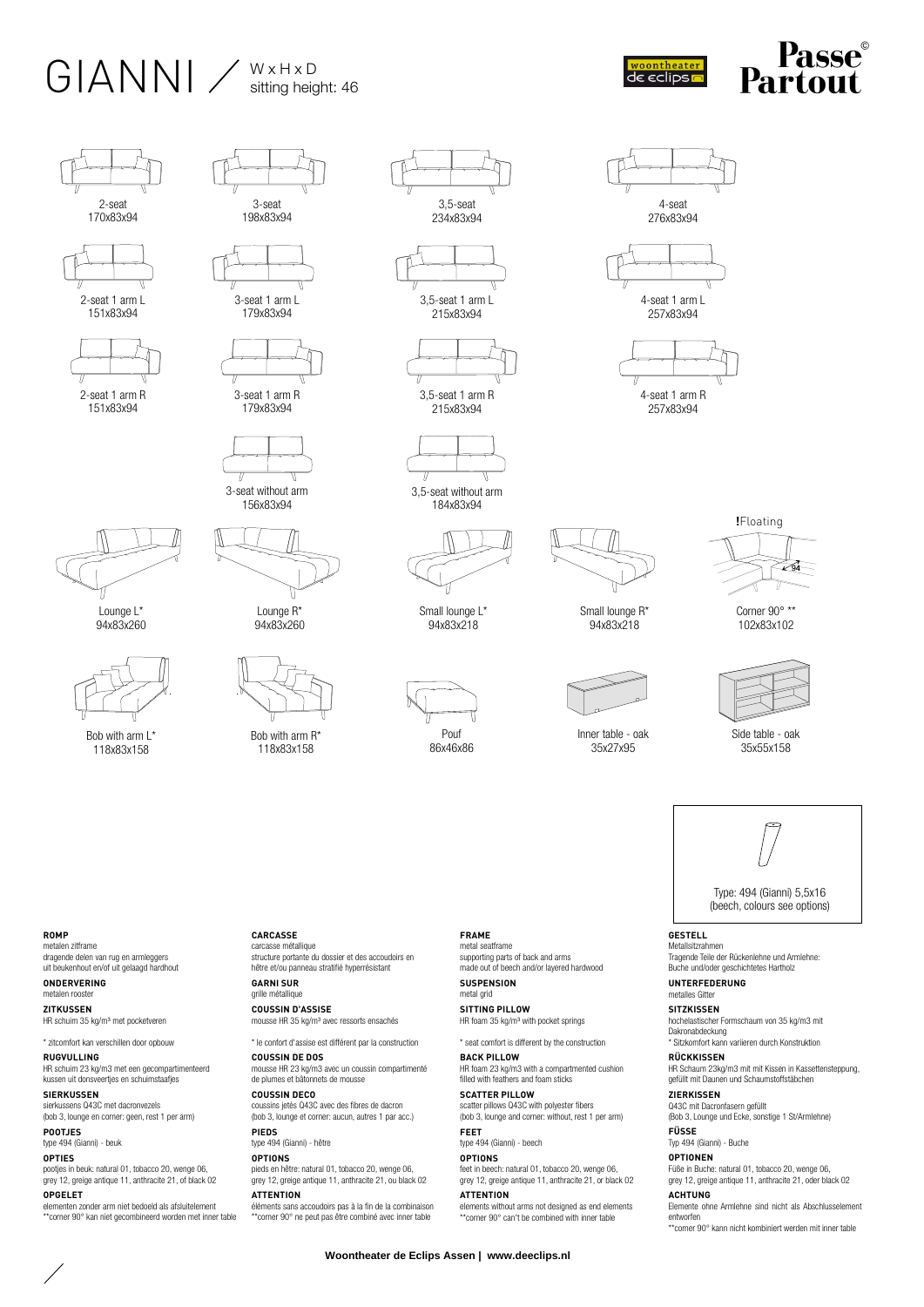## $GIANNI \ \sub{^W \times H \times D}_{\text{stiting height: 46}}$



4-seat 276x83x94

4-seat 1 arm L 257x83x94

4-seat 1 arm R 257x83x94





151x83x94



2-seat 1 arm R 151x83x94



04x83x260



Bob with arm L<sup>\*</sup> 118x83x158





3-seat 1 arm L

179x83x94



179x83x94





Lounge R<sup>\*</sup> 94x83x260



Bob with arm R\* 118x83x158





3,5-seat 1 arm R 215x83x94



184x83x94



Small lounge L<sup>\*</sup> 94x83x218

Pouf

86x46x86



Small lounge R<sup>\*</sup> 94x83x218



Inner table - oak 35x27x95



Corner 90° \*\* 102x83x102



Side table - oak 35x55x158

Type: 494 (Gianni) 5,5x16

(beech, colours see options)

**GESTELL**  Metallsitzrahmen Tragende Teile der Rückenlehne und Armlehne: Buche und/oder geschichtetes Hartholz

**UNTERFEDERUNG**  metalles Gitter

**SITZKISSEN**  hochelastischer Formschaum von 35 kg/m3 mit Dakronabdeckung

\* Sitzkomfort kann variieren durch Konstruktion **RÜCKKISSEN** 

HR Schaum 23kg/m3 mit mit Kissen in Kassettensteppung, gefüllt mit Daunen und Schaumstoffstäbchen **ZIERKISSEN** 

Q43C mit Dacronfasern gefüllt (Bob 3, Lounge und Ecke, sonstige 1 St/Armlehne)

**FÜSSE** 

Typ 494 (Gianni) - Buche **OPTIONEN** 

Füße in Buche: natural 01, tobacco 20, wenge 06, grey 12, greige antique 11, anthracite 21, oder black 02

**ACHTUNG**  Elemente ohne Armlehne sind nicht als Abschlusselement

\*\*corner 90° kann nicht kombiniert werden mit inner table

**ROMP**  metalen zitframe

dragende delen van rug en armleggers uit beukenhout en/of uit gelaagd hardhout

**ONDERVERING**  metalen roost **ZITKUSSEN** 

HR schuim 35 kg/m³ met pocketveren

\* zitcomfort kan verschillen door opbouw **RUGVULLING**  HR schuim 23 kg/m3 met een gecompartimenteerd kussen uit donsveertjes en schuimstaafjes

**SIERKUSSEN**  sierkussens Q43C met dacronvezels (bob 3, lounge en corner: geen, rest 1 per arm)

**POOTJES**  type 494 (Gianni) - beuk

**OPTIES**  pootjes in beuk: natural 01, tobacco 20, wenge 06, grey 12, greige antique 11, anthracite 21, of black 02

**OPGELET**  elementen zonder arm niet bedoeld als afsluitelement \*\*corner 90° kan niet gecombineerd worden met inner table

**CARCASSE**  carcasse métallique structure portante du dossier et des accoudoirs en hêtre et/ou panneau stratifié hyperrésistant

> **GARNI SUR**  grille métallique **COUSSIN D'ASSISE**

mousse HR 35 kg/m³ avec ressorts ensachés

\* le confort d'assise est différent par la construction **COUSSIN DE DOS** 

mousse HR 23 kg/m3 avec un coussin compartimenté de plumes et bâtonnets de mousse **COUSSIN DECO** 

coussins jetés Q43C avec des fibres de dacron (bob 3, lounge et corner: aucun, autres 1 par acc.)

**PIEDS**  type 494 (Gianni) - hêtre **OPTIONS** 

pieds en hêtre: natural 01, tobacco 20, wenge 06, grey 12, greige antique 11, anthracite 21, ou black 02

**ATTENTION**  éléments sans accoudoirs pas à la fin de la combinaison \*\*corner 90° ne peut pas être combiné avec inner table

**FRAME**  metal seatframe supporting parts of back and arms made out of beech and/or layered hardwood

metal grid **SITTING PILLOW**  HR foam 35 kg/m<sup>3</sup> with pocket springs

HR foam 23 kg/m3 with a compartmented cushion filled with feathers and foam sticks

scatter pillows Q43C with polyester fibers (bob 3, lounge and corner: without, rest 1 per arm)

**FEET**  type 494 (Gianni) - beech

**OPTIONS** 

entworfen

**SUSPENSION** 

\* seat comfort is different by the construction

**BACK PILLOW** 

**SCATTER PILLOW** 

feet in beech: natural 01, tobacco 20, wenge 06, grey 12, greige antique 11, anthracite 21, or black 02

**ATTENTION** 

elements without arms not designed as end elements \*\*corner 90° can't be combined with inner table